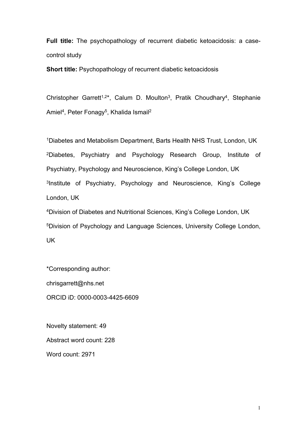**Full title:** The psychopathology of recurrent diabetic ketoacidosis: a casecontrol study

**Short title:** Psychopathology of recurrent diabetic ketoacidosis

Christopher Garrett<sup>1,2\*</sup>, Calum D. Moulton<sup>3</sup>, Pratik Choudhary<sup>4</sup>, Stephanie Amiel<sup>4</sup>, Peter Fonagy<sup>5</sup>, Khalida Ismail<sup>2</sup>

<sup>1</sup>Diabetes and Metabolism Department, Barts Health NHS Trust, London, UK <sup>2</sup>Diabetes, Psychiatry and Psychology Research Group, Institute of Psychiatry, Psychology and Neuroscience, King's College London, UK 3 Institute of Psychiatry, Psychology and Neuroscience, King's College London, UK

<sup>4</sup>Division of Diabetes and Nutritional Sciences, King's College London, UK <sup>5</sup>Division of Psychology and Language Sciences, University College London, UK

\*Corresponding author: chrisgarrett@nhs.net ORCID iD: 0000-0003-4425-6609

Novelty statement: 49 Abstract word count: 228 Word count: 2971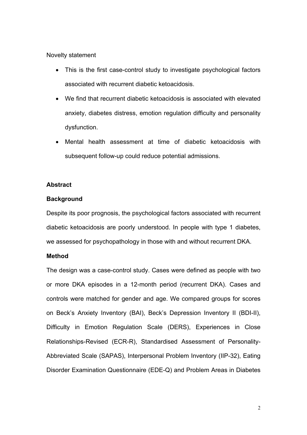## Novelty statement

- This is the first case-control study to investigate psychological factors associated with recurrent diabetic ketoacidosis.
- We find that recurrent diabetic ketoacidosis is associated with elevated anxiety, diabetes distress, emotion regulation difficulty and personality dysfunction.
- Mental health assessment at time of diabetic ketoacidosis with subsequent follow-up could reduce potential admissions.

## **Abstract**

## **Background**

Despite its poor prognosis, the psychological factors associated with recurrent diabetic ketoacidosis are poorly understood. In people with type 1 diabetes, we assessed for psychopathology in those with and without recurrent DKA.

## **Method**

The design was a case-control study. Cases were defined as people with two or more DKA episodes in a 12-month period (recurrent DKA). Cases and controls were matched for gender and age. We compared groups for scores on Beck's Anxiety Inventory (BAI), Beck's Depression Inventory II (BDI-II), Difficulty in Emotion Regulation Scale (DERS), Experiences in Close Relationships-Revised (ECR-R), Standardised Assessment of Personality-Abbreviated Scale (SAPAS), Interpersonal Problem Inventory (IIP-32), Eating Disorder Examination Questionnaire (EDE-Q) and Problem Areas in Diabetes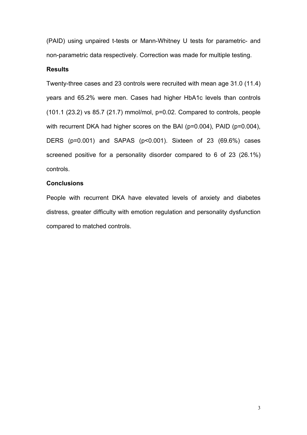(PAID) using unpaired t-tests or Mann-Whitney U tests for parametric- and non-parametric data respectively. Correction was made for multiple testing.

## **Results**

Twenty-three cases and 23 controls were recruited with mean age 31.0 (11.4) years and 65.2% were men. Cases had higher HbA1c levels than controls (101.1 (23.2) vs 85.7 (21.7) mmol/mol, p=0.02. Compared to controls, people with recurrent DKA had higher scores on the BAI (p=0.004), PAID (p=0.004), DERS (p=0.001) and SAPAS (p<0.001). Sixteen of 23 (69.6%) cases screened positive for a personality disorder compared to 6 of 23 (26.1%) controls.

## **Conclusions**

People with recurrent DKA have elevated levels of anxiety and diabetes distress, greater difficulty with emotion regulation and personality dysfunction compared to matched controls.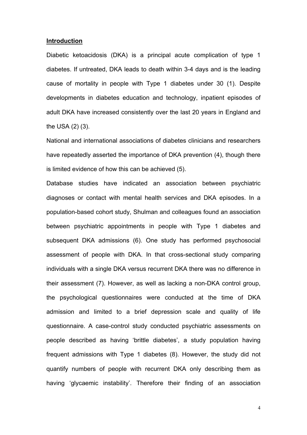### **Introduction**

Diabetic ketoacidosis (DKA) is a principal acute complication of type 1 diabetes. If untreated, DKA leads to death within 3-4 days and is the leading cause of mortality in people with Type 1 diabetes under 30 (1). Despite developments in diabetes education and technology, inpatient episodes of adult DKA have increased consistently over the last 20 years in England and the USA (2) (3).

National and international associations of diabetes clinicians and researchers have repeatedly asserted the importance of DKA prevention (4), though there is limited evidence of how this can be achieved (5).

Database studies have indicated an association between psychiatric diagnoses or contact with mental health services and DKA episodes. In a population-based cohort study, Shulman and colleagues found an association between psychiatric appointments in people with Type 1 diabetes and subsequent DKA admissions (6). One study has performed psychosocial assessment of people with DKA. In that cross-sectional study comparing individuals with a single DKA versus recurrent DKA there was no difference in their assessment (7). However, as well as lacking a non-DKA control group, the psychological questionnaires were conducted at the time of DKA admission and limited to a brief depression scale and quality of life questionnaire. A case-control study conducted psychiatric assessments on people described as having 'brittle diabetes', a study population having frequent admissions with Type 1 diabetes (8). However, the study did not quantify numbers of people with recurrent DKA only describing them as having 'glycaemic instability'. Therefore their finding of an association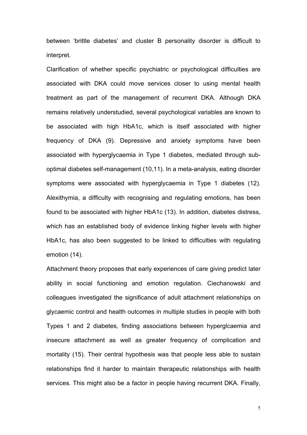between 'brittle diabetes' and cluster B personality disorder is difficult to interpret.

Clarification of whether specific psychiatric or psychological difficulties are associated with DKA could move services closer to using mental health treatment as part of the management of recurrent DKA. Although DKA remains relatively understudied, several psychological variables are known to be associated with high HbA1c, which is itself associated with higher frequency of DKA (9). Depressive and anxiety symptoms have been associated with hyperglycaemia in Type 1 diabetes, mediated through suboptimal diabetes self-management (10,11). In a meta-analysis, eating disorder symptoms were associated with hyperglycaemia in Type 1 diabetes (12). Alexithymia, a difficulty with recognising and regulating emotions, has been found to be associated with higher HbA1c (13). In addition, diabetes distress, which has an established body of evidence linking higher levels with higher HbA1c, has also been suggested to be linked to difficulties with regulating emotion (14).

Attachment theory proposes that early experiences of care giving predict later ability in social functioning and emotion regulation. Ciechanowski and colleagues investigated the significance of adult attachment relationships on glycaemic control and health outcomes in multiple studies in people with both Types 1 and 2 diabetes, finding associations between hyperglcaemia and insecure attachment as well as greater frequency of complication and mortality (15). Their central hypothesis was that people less able to sustain relationships find it harder to maintain therapeutic relationships with health services. This might also be a factor in people having recurrent DKA. Finally,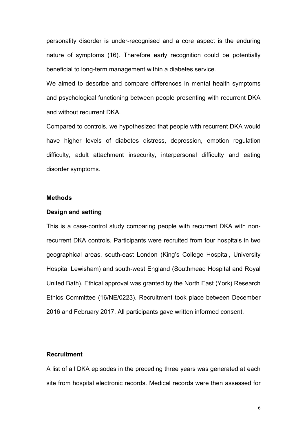personality disorder is under-recognised and a core aspect is the enduring nature of symptoms (16). Therefore early recognition could be potentially beneficial to long-term management within a diabetes service.

We aimed to describe and compare differences in mental health symptoms and psychological functioning between people presenting with recurrent DKA and without recurrent DKA.

Compared to controls, we hypothesized that people with recurrent DKA would have higher levels of diabetes distress, depression, emotion regulation difficulty, adult attachment insecurity, interpersonal difficulty and eating disorder symptoms.

### **Methods**

## **Design and setting**

This is a case-control study comparing people with recurrent DKA with nonrecurrent DKA controls. Participants were recruited from four hospitals in two geographical areas, south-east London (King's College Hospital, University Hospital Lewisham) and south-west England (Southmead Hospital and Royal United Bath). Ethical approval was granted by the North East (York) Research Ethics Committee (16/NE/0223). Recruitment took place between December 2016 and February 2017. All participants gave written informed consent.

# **Recruitment**

A list of all DKA episodes in the preceding three years was generated at each site from hospital electronic records. Medical records were then assessed for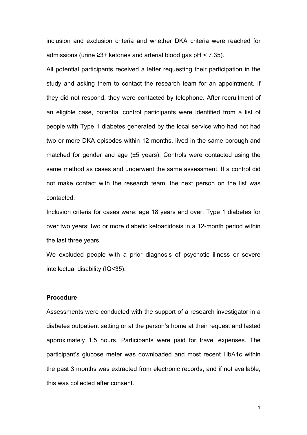inclusion and exclusion criteria and whether DKA criteria were reached for admissions (urine ≥3+ ketones and arterial blood gas pH < 7.35).

All potential participants received a letter requesting their participation in the study and asking them to contact the research team for an appointment. If they did not respond, they were contacted by telephone. After recruitment of an eligible case, potential control participants were identified from a list of people with Type 1 diabetes generated by the local service who had not had two or more DKA episodes within 12 months, lived in the same borough and matched for gender and age (±5 years). Controls were contacted using the same method as cases and underwent the same assessment. If a control did not make contact with the research team, the next person on the list was contacted.

Inclusion criteria for cases were: age 18 years and over; Type 1 diabetes for over two years; two or more diabetic ketoacidosis in a 12-month period within the last three years.

We excluded people with a prior diagnosis of psychotic illness or severe intellectual disability (IQ<35).

### **Procedure**

Assessments were conducted with the support of a research investigator in a diabetes outpatient setting or at the person's home at their request and lasted approximately 1.5 hours. Participants were paid for travel expenses. The participant's glucose meter was downloaded and most recent HbA1c within the past 3 months was extracted from electronic records, and if not available, this was collected after consent.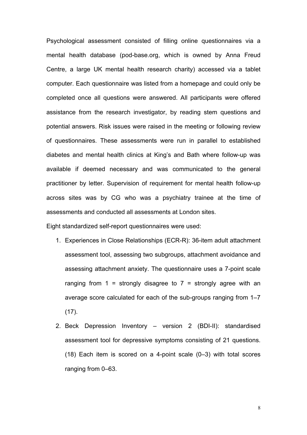Psychological assessment consisted of filling online questionnaires via a mental health database (pod-base.org, which is owned by Anna Freud Centre, a large UK mental health research charity) accessed via a tablet computer. Each questionnaire was listed from a homepage and could only be completed once all questions were answered. All participants were offered assistance from the research investigator, by reading stem questions and potential answers. Risk issues were raised in the meeting or following review of questionnaires. These assessments were run in parallel to established diabetes and mental health clinics at King's and Bath where follow-up was available if deemed necessary and was communicated to the general practitioner by letter. Supervision of requirement for mental health follow-up across sites was by CG who was a psychiatry trainee at the time of assessments and conducted all assessments at London sites.

Eight standardized self-report questionnaires were used:

- 1. Experiences in Close Relationships (ECR-R): 36-item adult attachment assessment tool, assessing two subgroups, attachment avoidance and assessing attachment anxiety. The questionnaire uses a 7-point scale ranging from  $1 =$  strongly disagree to  $7 =$  strongly agree with an average score calculated for each of the sub-groups ranging from 1–7  $(17)$ .
- 2. Beck Depression Inventory version 2 (BDI-II): standardised assessment tool for depressive symptoms consisting of 21 questions. (18) Each item is scored on a 4-point scale (0–3) with total scores ranging from 0–63.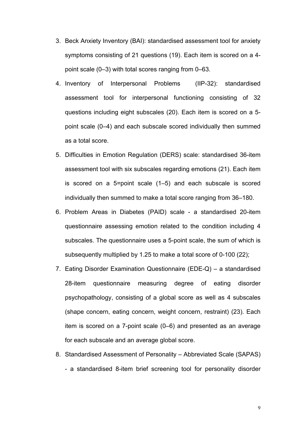- 3. Beck Anxiety Inventory (BAI): standardised assessment tool for anxiety symptoms consisting of 21 questions (19). Each item is scored on a 4 point scale (0–3) with total scores ranging from 0–63.
- 4. Inventory of Interpersonal Problems (IIP-32): standardised assessment tool for interpersonal functioning consisting of 32 questions including eight subscales (20). Each item is scored on a 5 point scale (0–4) and each subscale scored individually then summed as a total score.
- 5. Difficulties in Emotion Regulation (DERS) scale: standardised 36-item assessment tool with six subscales regarding emotions (21). Each item is scored on a 5=point scale (1–5) and each subscale is scored individually then summed to make a total score ranging from 36–180.
- 6. Problem Areas in Diabetes (PAID) scale a standardised 20-item questionnaire assessing emotion related to the condition including 4 subscales. The questionnaire uses a 5-point scale, the sum of which is subsequently multiplied by 1.25 to make a total score of 0-100 (22);
- 7. Eating Disorder Examination Questionnaire (EDE-Q) a standardised 28-item questionnaire measuring degree of eating disorder psychopathology, consisting of a global score as well as 4 subscales (shape concern, eating concern, weight concern, restraint) (23). Each item is scored on a 7-point scale (0–6) and presented as an average for each subscale and an average global score.
- 8. Standardised Assessment of Personality Abbreviated Scale (SAPAS) - a standardised 8-item brief screening tool for personality disorder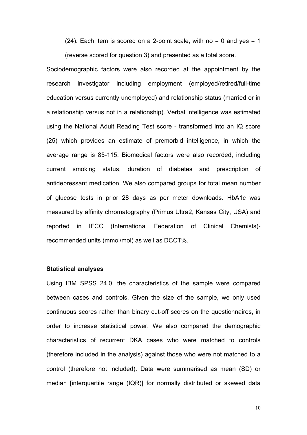$(24)$ . Each item is scored on a 2-point scale, with no = 0 and yes = 1

(reverse scored for question 3) and presented as a total score.

Sociodemographic factors were also recorded at the appointment by the research investigator including employment (employed/retired/full-time education versus currently unemployed) and relationship status (married or in a relationship versus not in a relationship). Verbal intelligence was estimated using the National Adult Reading Test score - transformed into an IQ score (25) which provides an estimate of premorbid intelligence, in which the average range is 85-115. Biomedical factors were also recorded, including current smoking status, duration of diabetes and prescription of antidepressant medication. We also compared groups for total mean number of glucose tests in prior 28 days as per meter downloads. HbA1c was measured by affinity chromatography (Primus Ultra2, Kansas City, USA) and reported in IFCC (International Federation of Clinical Chemists) recommended units (mmol/mol) as well as DCCT%.

## **Statistical analyses**

Using IBM SPSS 24.0, the characteristics of the sample were compared between cases and controls. Given the size of the sample, we only used continuous scores rather than binary cut-off scores on the questionnaires, in order to increase statistical power. We also compared the demographic characteristics of recurrent DKA cases who were matched to controls (therefore included in the analysis) against those who were not matched to a control (therefore not included). Data were summarised as mean (SD) or median [interquartile range (IQR)] for normally distributed or skewed data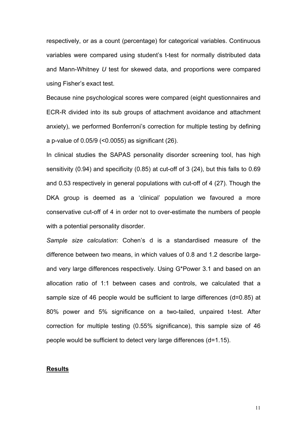respectively, or as a count (percentage) for categorical variables. Continuous variables were compared using student's t-test for normally distributed data and Mann-Whitney *U* test for skewed data, and proportions were compared using Fisher's exact test.

Because nine psychological scores were compared (eight questionnaires and ECR-R divided into its sub groups of attachment avoidance and attachment anxiety), we performed Bonferroni's correction for multiple testing by defining a p-value of 0.05/9 (<0.0055) as significant (26).

In clinical studies the SAPAS personality disorder screening tool, has high sensitivity (0.94) and specificity (0.85) at cut-off of 3 (24), but this falls to 0.69 and 0.53 respectively in general populations with cut-off of 4 (27). Though the DKA group is deemed as a 'clinical' population we favoured a more conservative cut-off of 4 in order not to over-estimate the numbers of people with a potential personality disorder.

*Sample size calculation*: Cohen's d is a standardised measure of the difference between two means, in which values of 0.8 and 1.2 describe largeand very large differences respectively. Using G\*Power 3.1 and based on an allocation ratio of 1:1 between cases and controls, we calculated that a sample size of 46 people would be sufficient to large differences (d=0.85) at 80% power and 5% significance on a two-tailed, unpaired t-test. After correction for multiple testing (0.55% significance), this sample size of 46 people would be sufficient to detect very large differences (d=1.15).

#### **Results**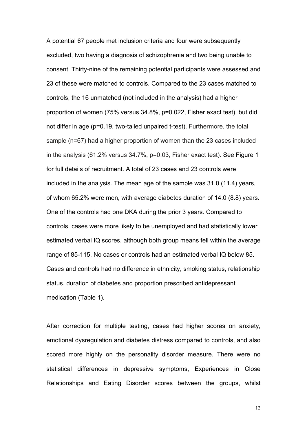A potential 67 people met inclusion criteria and four were subsequently excluded, two having a diagnosis of schizophrenia and two being unable to consent. Thirty-nine of the remaining potential participants were assessed and 23 of these were matched to controls. Compared to the 23 cases matched to controls, the 16 unmatched (not included in the analysis) had a higher proportion of women (75% versus 34.8%, p=0.022, Fisher exact test), but did not differ in age (p=0.19, two-tailed unpaired t-test). Furthermore, the total sample (n=67) had a higher proportion of women than the 23 cases included in the analysis (61.2% versus 34.7%, p=0.03, Fisher exact test). See Figure 1 for full details of recruitment. A total of 23 cases and 23 controls were included in the analysis. The mean age of the sample was 31.0 (11.4) years, of whom 65.2% were men, with average diabetes duration of 14.0 (8.8) years. One of the controls had one DKA during the prior 3 years. Compared to controls, cases were more likely to be unemployed and had statistically lower estimated verbal IQ scores, although both group means fell within the average range of 85-115. No cases or controls had an estimated verbal IQ below 85. Cases and controls had no difference in ethnicity, smoking status, relationship status, duration of diabetes and proportion prescribed antidepressant medication (Table 1).

After correction for multiple testing, cases had higher scores on anxiety, emotional dysregulation and diabetes distress compared to controls, and also scored more highly on the personality disorder measure. There were no statistical differences in depressive symptoms, Experiences in Close Relationships and Eating Disorder scores between the groups, whilst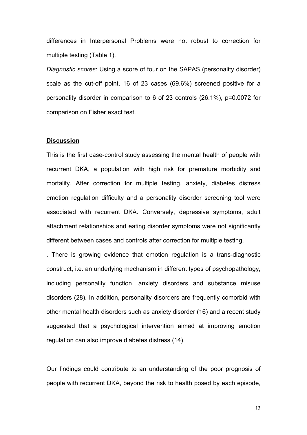differences in Interpersonal Problems were not robust to correction for multiple testing (Table 1).

*Diagnostic scores*: Using a score of four on the SAPAS (personality disorder) scale as the cut-off point, 16 of 23 cases (69.6%) screened positive for a personality disorder in comparison to 6 of 23 controls (26.1%), p=0.0072 for comparison on Fisher exact test.

### **Discussion**

This is the first case-control study assessing the mental health of people with recurrent DKA, a population with high risk for premature morbidity and mortality. After correction for multiple testing, anxiety, diabetes distress emotion regulation difficulty and a personality disorder screening tool were associated with recurrent DKA. Conversely, depressive symptoms, adult attachment relationships and eating disorder symptoms were not significantly different between cases and controls after correction for multiple testing.

. There is growing evidence that emotion regulation is a trans-diagnostic construct, i.e. an underlying mechanism in different types of psychopathology, including personality function, anxiety disorders and substance misuse disorders (28). In addition, personality disorders are frequently comorbid with other mental health disorders such as anxiety disorder (16) and a recent study suggested that a psychological intervention aimed at improving emotion regulation can also improve diabetes distress (14).

Our findings could contribute to an understanding of the poor prognosis of people with recurrent DKA, beyond the risk to health posed by each episode,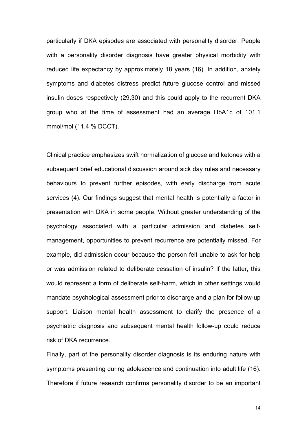particularly if DKA episodes are associated with personality disorder. People with a personality disorder diagnosis have greater physical morbidity with reduced life expectancy by approximately 18 years (16). In addition, anxiety symptoms and diabetes distress predict future glucose control and missed insulin doses respectively (29,30) and this could apply to the recurrent DKA group who at the time of assessment had an average HbA1c of 101.1 mmol/mol (11.4 % DCCT).

Clinical practice emphasizes swift normalization of glucose and ketones with a subsequent brief educational discussion around sick day rules and necessary behaviours to prevent further episodes, with early discharge from acute services (4). Our findings suggest that mental health is potentially a factor in presentation with DKA in some people. Without greater understanding of the psychology associated with a particular admission and diabetes selfmanagement, opportunities to prevent recurrence are potentially missed. For example, did admission occur because the person felt unable to ask for help or was admission related to deliberate cessation of insulin? If the latter, this would represent a form of deliberate self-harm, which in other settings would mandate psychological assessment prior to discharge and a plan for follow-up support. Liaison mental health assessment to clarify the presence of a psychiatric diagnosis and subsequent mental health follow-up could reduce risk of DKA recurrence.

Finally, part of the personality disorder diagnosis is its enduring nature with symptoms presenting during adolescence and continuation into adult life (16). Therefore if future research confirms personality disorder to be an important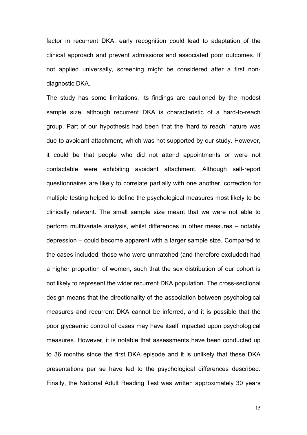factor in recurrent DKA, early recognition could lead to adaptation of the clinical approach and prevent admissions and associated poor outcomes. If not applied universally, screening might be considered after a first nondiagnostic DKA.

The study has some limitations. Its findings are cautioned by the modest sample size, although recurrent DKA is characteristic of a hard-to-reach group. Part of our hypothesis had been that the 'hard to reach' nature was due to avoidant attachment, which was not supported by our study. However, it could be that people who did not attend appointments or were not contactable were exhibiting avoidant attachment. Although self-report questionnaires are likely to correlate partially with one another, correction for multiple testing helped to define the psychological measures most likely to be clinically relevant. The small sample size meant that we were not able to perform multivariate analysis, whilst differences in other measures – notably depression – could become apparent with a larger sample size. Compared to the cases included, those who were unmatched (and therefore excluded) had a higher proportion of women, such that the sex distribution of our cohort is not likely to represent the wider recurrent DKA population. The cross-sectional design means that the directionality of the association between psychological measures and recurrent DKA cannot be inferred, and it is possible that the poor glycaemic control of cases may have itself impacted upon psychological measures. However, it is notable that assessments have been conducted up to 36 months since the first DKA episode and it is unlikely that these DKA presentations per se have led to the psychological differences described. Finally, the National Adult Reading Test was written approximately 30 years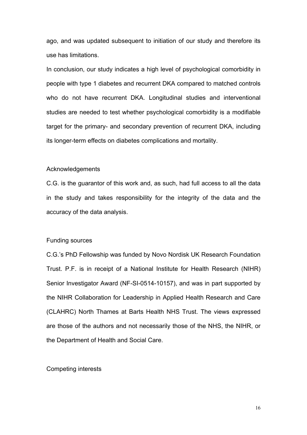ago, and was updated subsequent to initiation of our study and therefore its use has limitations.

In conclusion, our study indicates a high level of psychological comorbidity in people with type 1 diabetes and recurrent DKA compared to matched controls who do not have recurrent DKA. Longitudinal studies and interventional studies are needed to test whether psychological comorbidity is a modifiable target for the primary- and secondary prevention of recurrent DKA, including its longer-term effects on diabetes complications and mortality.

### Acknowledgements

C.G. is the guarantor of this work and, as such, had full access to all the data in the study and takes responsibility for the integrity of the data and the accuracy of the data analysis.

### Funding sources

C.G.'s PhD Fellowship was funded by Novo Nordisk UK Research Foundation Trust. P.F. is in receipt of a National Institute for Health Research (NIHR) Senior Investigator Award (NF-SI-0514-10157), and was in part supported by the NIHR Collaboration for Leadership in Applied Health Research and Care (CLAHRC) North Thames at Barts Health NHS Trust. The views expressed are those of the authors and not necessarily those of the NHS, the NIHR, or the Department of Health and Social Care.

### Competing interests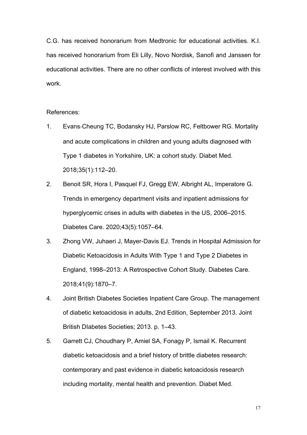C.G. has received honorarium from Medtronic for educational activities. K.I. has received honorarium from Eli Lilly, Novo Nordisk, Sanofi and Janssen for educational activities. There are no other conflicts of interest involved with this work.

References:

- 1. Evans‐Cheung TC, Bodansky HJ, Parslow RC, Feltbower RG. Mortality and acute complications in children and young adults diagnosed with Type 1 diabetes in Yorkshire, UK: a cohort study. Diabet Med. 2018;35(1):112–20.
- 2. Benoit SR, Hora I, Pasquel FJ, Gregg EW, Albright AL, Imperatore G. Trends in emergency department visits and inpatient admissions for hyperglycemic crises in adults with diabetes in the US, 2006–2015. Diabetes Care. 2020;43(5):1057–64.
- 3. Zhong VW, Juhaeri J, Mayer-Davis EJ. Trends in Hospital Admission for Diabetic Ketoacidosis in Adults With Type 1 and Type 2 Diabetes in England, 1998–2013: A Retrospective Cohort Study. Diabetes Care. 2018;41(9):1870–7.
- 4. Joint British Diabetes Societies Inpatient Care Group. The management of diabetic ketoacidosis in adults, 2nd Edition, September 2013. Joint British DIabetes Societies; 2013. p. 1–43.
- 5. Garrett CJ, Choudhary P, Amiel SA, Fonagy P, Ismail K. Recurrent diabetic ketoacidosis and a brief history of brittle diabetes research: contemporary and past evidence in diabetic ketoacidosis research including mortality, mental health and prevention. Diabet Med.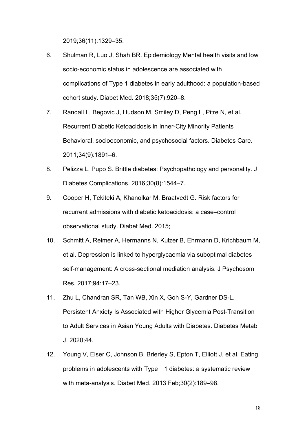2019;36(11):1329–35.

- 6. Shulman R, Luo J, Shah BR. Epidemiology Mental health visits and low socio-economic status in adolescence are associated with complications of Type 1 diabetes in early adulthood: a population-based cohort study. Diabet Med. 2018;35(7):920–8.
- 7. Randall L, Begovic J, Hudson M, Smiley D, Peng L, Pitre N, et al. Recurrent Diabetic Ketoacidosis in Inner-City Minority Patients Behavioral, socioeconomic, and psychosocial factors. Diabetes Care. 2011;34(9):1891–6.
- 8. Pelizza L, Pupo S. Brittle diabetes: Psychopathology and personality. J Diabetes Complications. 2016;30(8):1544–7.
- 9. Cooper H, Tekiteki A, Khanolkar M, Braatvedt G. Risk factors for recurrent admissions with diabetic ketoacidosis: a case–control observational study. Diabet Med. 2015;
- 10. Schmitt A, Reimer A, Hermanns N, Kulzer B, Ehrmann D, Krichbaum M, et al. Depression is linked to hyperglycaemia via suboptimal diabetes self-management: A cross-sectional mediation analysis. J Psychosom Res. 2017;94:17–23.
- 11. Zhu L, Chandran SR, Tan WB, Xin X, Goh S-Y, Gardner DS-L. Persistent Anxiety Is Associated with Higher Glycemia Post-Transition to Adult Services in Asian Young Adults with Diabetes. Diabetes Metab J. 2020;44.
- 12. Young V, Eiser C, Johnson B, Brierley S, Epton T, Elliott J, et al. Eating problems in adolescents with Type 1 diabetes: a systematic review with meta-analysis. Diabet Med. 2013 Feb;30(2):189–98.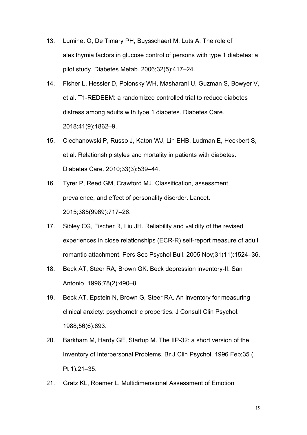- 13. Luminet O, De Timary PH, Buysschaert M, Luts A. The role of alexithymia factors in glucose control of persons with type 1 diabetes: a pilot study. Diabetes Metab. 2006;32(5):417–24.
- 14. Fisher L, Hessler D, Polonsky WH, Masharani U, Guzman S, Bowyer V, et al. T1-REDEEM: a randomized controlled trial to reduce diabetes distress among adults with type 1 diabetes. Diabetes Care. 2018;41(9):1862–9.
- 15. Ciechanowski P, Russo J, Katon WJ, Lin EHB, Ludman E, Heckbert S, et al. Relationship styles and mortality in patients with diabetes. Diabetes Care. 2010;33(3):539–44.
- 16. Tyrer P, Reed GM, Crawford MJ. Classification, assessment, prevalence, and effect of personality disorder. Lancet. 2015;385(9969):717–26.
- 17. Sibley CG, Fischer R, Liu JH. Reliability and validity of the revised experiences in close relationships (ECR-R) self-report measure of adult romantic attachment. Pers Soc Psychol Bull. 2005 Nov;31(11):1524–36.
- 18. Beck AT, Steer RA, Brown GK. Beck depression inventory-II. San Antonio. 1996;78(2):490–8.
- 19. Beck AT, Epstein N, Brown G, Steer RA. An inventory for measuring clinical anxiety: psychometric properties. J Consult Clin Psychol. 1988;56(6):893.
- 20. Barkham M, Hardy GE, Startup M. The IIP-32: a short version of the Inventory of Interpersonal Problems. Br J Clin Psychol. 1996 Feb;35 ( Pt 1):21–35.
- 21. Gratz KL, Roemer L. Multidimensional Assessment of Emotion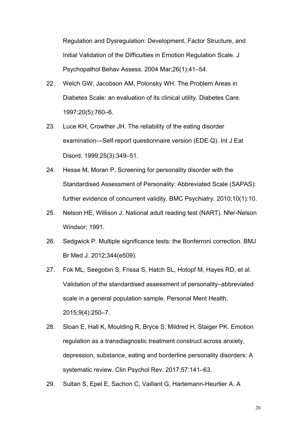Regulation and Dysregulation: Development, Factor Structure, and Initial Validation of the Difficulties in Emotion Regulation Scale. J Psychopathol Behav Assess. 2004 Mar;26(1):41–54.

- 22. Welch GW, Jacobson AM, Polonsky WH. The Problem Areas in Diabetes Scale: an evaluation of its clinical utility. Diabetes Care. 1997;20(5):760–6.
- 23. Luce KH, Crowther JH. The reliability of the eating disorder examination—Self‐report questionnaire version (EDE‐Q). Int J Eat Disord. 1999;25(3):349–51.
- 24. Hesse M, Moran P. Screening for personality disorder with the Standardised Assessment of Personality: Abbreviated Scale (SAPAS): further evidence of concurrent validity. BMC Psychiatry. 2010;10(1):10.
- 25. Nelson HE, Willison J. National adult reading test (NART). Nfer-Nelson Windsor; 1991.
- 26. Sedgwick P. Multiple significance tests: the Bonferroni correction. BMJ Br Med J. 2012;344(e509).
- 27. Fok ML, Seegobin S, Frissa S, Hatch SL, Hotopf M, Hayes RD, et al. Validation of the standardised assessment of personality–abbreviated scale in a general population sample. Personal Ment Health. 2015;9(4):250–7.
- 28. Sloan E, Hall K, Moulding R, Bryce S, Mildred H, Staiger PK. Emotion regulation as a transdiagnostic treatment construct across anxiety, depression, substance, eating and borderline personality disorders: A systematic review. Clin Psychol Rev. 2017;57:141–63.
- 29. Sultan S, Epel E, Sachon C, Vaillant G, Hartemann-Heurtier A. A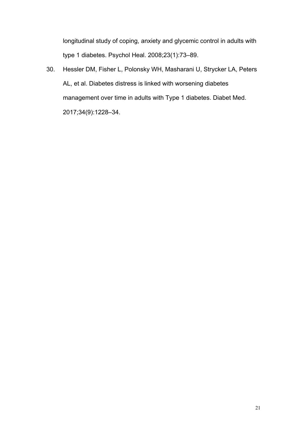longitudinal study of coping, anxiety and glycemic control in adults with type 1 diabetes. Psychol Heal. 2008;23(1):73–89.

30. Hessler DM, Fisher L, Polonsky WH, Masharani U, Strycker LA, Peters AL, et al. Diabetes distress is linked with worsening diabetes management over time in adults with Type 1 diabetes. Diabet Med. 2017;34(9):1228–34.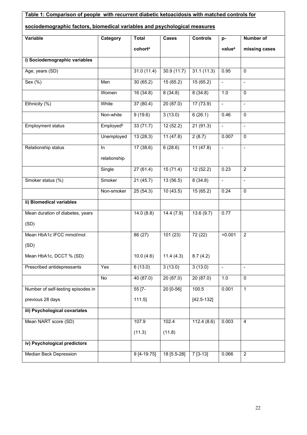| Table 1: Comparison of people with recurrent diabetic ketoacidosis with matched controls for |                       |                     |             |                 |                          |                |  |  |  |  |
|----------------------------------------------------------------------------------------------|-----------------------|---------------------|-------------|-----------------|--------------------------|----------------|--|--|--|--|
| sociodemographic factors, biomedical variables and psychological measures                    |                       |                     |             |                 |                          |                |  |  |  |  |
| <b>Variable</b>                                                                              | Category              | <b>Total</b>        | Cases       | <b>Controls</b> | p-                       | Number of      |  |  |  |  |
|                                                                                              |                       | cohort <sup>a</sup> |             |                 | value <sup>a</sup>       | missing cases  |  |  |  |  |
| i) Sociodemographic variables                                                                |                       |                     |             |                 |                          |                |  |  |  |  |
| Age, years (SD)                                                                              |                       | 31.0(11.4)          | 30.9(11.7)  | 31.1(11.3)      | 0.95                     | $\Omega$       |  |  |  |  |
| Sex (%)                                                                                      | Men                   | 30(65.2)            | 15(65.2)    | 15(65.2)        | $\overline{\phantom{a}}$ | ÷.             |  |  |  |  |
|                                                                                              | Women                 | 16(34.8)            | 8(34.8)     | 8(34.8)         | 1.0                      | 0              |  |  |  |  |
| Ethnicity (%)                                                                                | White                 | 37(80.4)            | 20(87.0)    | 17(73.9)        | $\blacksquare$           | $\mathbb{L}$   |  |  |  |  |
|                                                                                              | Non-white             | 9(19.6)             | 3(13.0)     | 6(26.1)         | 0.46                     | 0              |  |  |  |  |
| <b>Employment status</b>                                                                     | Employed <sup>b</sup> | 33 (71.7)           | 12(52.2)    | 21(91.3)        | $\Box$                   | $\overline{a}$ |  |  |  |  |
|                                                                                              | Unemployed            | 13(28.3)            | 11(47.8)    | 2(8.7)          | 0.007                    | $\mathbf 0$    |  |  |  |  |
| Relationship status                                                                          | $\ln$                 | 17(38.6)            | 6(28.6)     | 11(47.8)        | $\overline{\phantom{a}}$ | $\overline{a}$ |  |  |  |  |
|                                                                                              | relationship          |                     |             |                 |                          |                |  |  |  |  |
|                                                                                              | Single                | 27(61.4)            | 15(71.4)    | 12(52.2)        | 0.23                     | $\overline{2}$ |  |  |  |  |
| Smoker status (%)                                                                            | Smoker                | 21(45.7)            | 13(56.5)    | 8(34.8)         | $\overline{\phantom{a}}$ | $\blacksquare$ |  |  |  |  |
|                                                                                              | Non-smoker            | 25(54.3)            | 10(43.5)    | 15(65.2)        | 0.24                     | $\Omega$       |  |  |  |  |
| ii) Biomedical variables                                                                     |                       |                     |             |                 |                          |                |  |  |  |  |
| Mean duration of diabetes, years                                                             |                       | 14.0(8.8)           | 14.4(7.9)   | 13.6(9.7)       | 0.77                     |                |  |  |  |  |
| (SD)                                                                                         |                       |                     |             |                 |                          |                |  |  |  |  |
| Mean HbA1c IFCC mmol/mol                                                                     |                       | 86 (27)             | 101(23)     | 72 (22)         | < 0.001                  | $\overline{2}$ |  |  |  |  |
| (SD)                                                                                         |                       |                     |             |                 |                          |                |  |  |  |  |
| Mean HbA1c, DCCT % (SD)                                                                      |                       | 10.0(4.6)           | 11.4(4.3)   | 8.7(4.2)        |                          |                |  |  |  |  |
| Prescribed antidepressants                                                                   | Yes                   | 6(13.0)             | 3(13.0)     | 3(13.0)         | $\overline{\phantom{a}}$ | $\blacksquare$ |  |  |  |  |
|                                                                                              | No                    | 40(87.0)            | 20(87.0)    | 20(87.0)        | 1.0                      | $\mathbf 0$    |  |  |  |  |
| Number of self-testing episodes in                                                           |                       | $55 [7 -$           | 20 [0-56]   | 100.5           | 0.001                    | 1              |  |  |  |  |
| previous 28 days                                                                             |                       | $111.5$ ]           |             | $[42.5 - 132]$  |                          |                |  |  |  |  |
| iii) Psychological covariates                                                                |                       |                     |             |                 |                          |                |  |  |  |  |
| Mean NART score (SD)                                                                         |                       | 107.9               | 102.4       | 112.4(8.6)      | 0.003                    | $\overline{4}$ |  |  |  |  |
|                                                                                              |                       | (11.3)              | (11.8)      |                 |                          |                |  |  |  |  |
| iv) Psychological predictors                                                                 |                       |                     |             |                 |                          |                |  |  |  |  |
| <b>Median Beck Depression</b>                                                                |                       | $9[4-19.75]$        | 18 [5.5-28] | $7[3-13]$       | 0.066                    | $\overline{2}$ |  |  |  |  |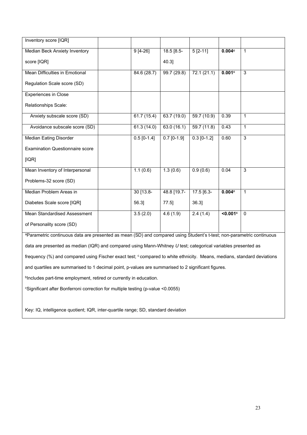| Inventory score [IQR]                                                                                                  |  |               |               |               |          |                |  |  |
|------------------------------------------------------------------------------------------------------------------------|--|---------------|---------------|---------------|----------|----------------|--|--|
| Median Beck Anxiety Inventory                                                                                          |  | $9[4-26]$     | $18.5$ [8.5-  | $5[2-11]$     | 0.004c   | $\mathbf{1}$   |  |  |
| score [IQR]                                                                                                            |  |               | 40.3]         |               |          |                |  |  |
| Mean Difficulties in Emotional                                                                                         |  | 84.6 (28.7)   | 99.7 (29.8)   | 72.1(21.1)    | 0.001c   | $\overline{3}$ |  |  |
| Regulation Scale score (SD)                                                                                            |  |               |               |               |          |                |  |  |
| Experiences in Close                                                                                                   |  |               |               |               |          |                |  |  |
| Relationships Scale:                                                                                                   |  |               |               |               |          |                |  |  |
| Anxiety subscale score (SD)                                                                                            |  | 61.7(15.4)    | 63.7 (19.0)   | 59.7 (10.9)   | 0.39     | 1              |  |  |
| Avoidance subscale score (SD)                                                                                          |  | 61.3(14.0)    | 63.0(16.1)    | 59.7(11.8)    | 0.43     | $\mathbf{1}$   |  |  |
| <b>Median Eating Disorder</b>                                                                                          |  | $0.5$ [0-1.4] | $0.7$ [0-1.9] | $0.3$ [0-1.2] | 0.60     | $\overline{3}$ |  |  |
| <b>Examination Questionnaire score</b>                                                                                 |  |               |               |               |          |                |  |  |
| [IQR]                                                                                                                  |  |               |               |               |          |                |  |  |
| Mean Inventory of Interpersonal                                                                                        |  | 1.1(0.6)      | 1.3(0.6)      | 0.9(0.6)      | 0.04     | $\overline{3}$ |  |  |
| Problems-32 score (SD)                                                                                                 |  |               |               |               |          |                |  |  |
| Median Problem Areas in                                                                                                |  | 30 [13.8-     | 48.8 [19.7-   | 17.5 [6.3-    | 0.004c   | $\mathbf{1}$   |  |  |
| Diabetes Scale score [IQR]                                                                                             |  | 56.31         | $77.5$ ]      | 36.31         |          |                |  |  |
| Mean Standardised Assessment                                                                                           |  | 3.5(2.0)      | 4.6(1.9)      | 2.4(1.4)      | < 0.001c | $\mathbf{0}$   |  |  |
| of Personality score (SD)                                                                                              |  |               |               |               |          |                |  |  |
| a Deremptric continuous data are presented as mean (SD) and compared using Student's t test: non-parametric continuous |  |               |               |               |          |                |  |  |

<sup>a</sup>Parametric continuous data are presented as mean (SD) and compared using Student's t-test; non-parametric continuous data are presented as median (IQR) and compared using Mann-Whitney *U* test; categorical variables presented as frequency (%) and compared using Fischer exact test; ccompared to white ethnicity. Means, medians, standard deviations and quartiles are summarised to 1 decimal point, p-values are summarised to 2 significant figures. b Includes part-time employment, retired or currently in education.

<sup>c</sup>Significant after Bonferroni correction for multiple testing (p-value <0.0055)

Key: IQ, intelligence quotient; IQR, inter-quartile range; SD, standard deviation